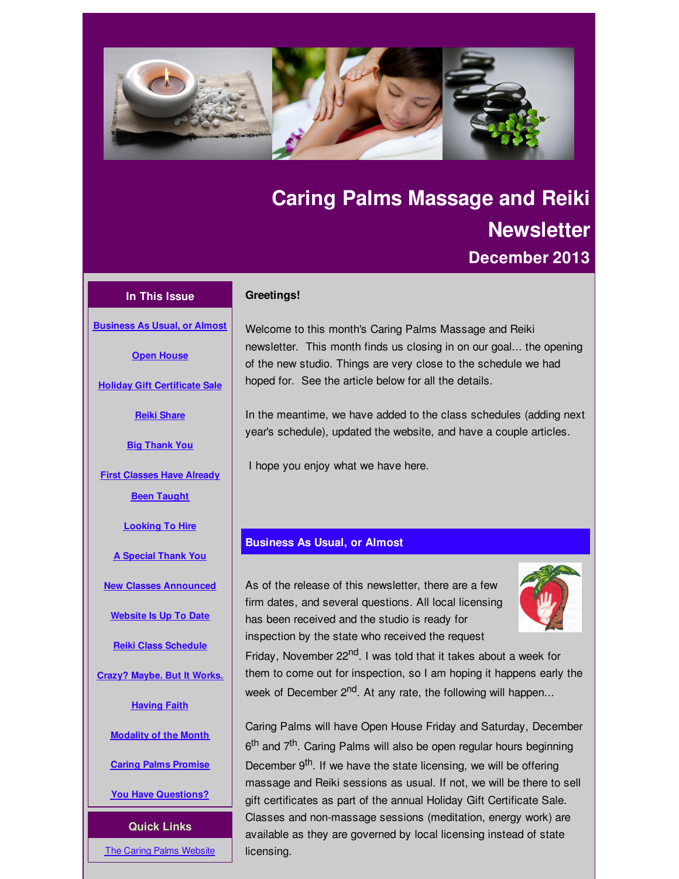<span id="page-0-0"></span>

# **Caring Palms Massage and Reiki Newsletter December 2013**

# **In This Issue**

**[Business](#page-0-0) As Usual, or Almost**

**Open [House](#page-0-0)**

**Holiday Gift [Certificate](#page-0-0) Sale**

**Reiki [Share](#page-0-0)**

**Big [Thank](#page-0-0) You**

**First [Classes](#page-0-0) Have Already Been Taught**

**[Looking](#page-0-0) To Hire**

**A [Special](#page-0-0) Thank You**

**New Classes [Announced](#page-0-0)**

**[Website](#page-0-0) Is Up To Date**

**Reiki Class [Schedule](#page-0-0)**

**Crazy? [Maybe.](#page-0-0) But It Works.**

**[Having](#page-0-0) Faith**

**[Modality](#page-0-0) of the Month**

**Caring Palms [Promise](#page-0-0)**

**You Have [Questions?](#page-0-0)**

**Quick Links**

**The Caring Palms [Website](http://r20.rs6.net/tn.jsp?f=001y1ltD-1ldJDzDiVwNHG-Es5HooYJqU2RTJRjSvwn_LiyjeQXwVNZuK_Hwz_dAh0gU0j38zH6r_SoM4DEZXn60gmlZJp0Pzjpzjb3SZyxH959S0BPirD2uxO032mvmjqRbikEkpnBvapElCMs4ESX2_t4NkC7G-PPl6w1FTOVnwA=&c=&ch=)** 

#### **Greetings!**

Welcome to this month's Caring Palms Massage and Reiki newsletter. This month finds us closing in on our goal... the opening of the new studio. Things are very close to the schedule we had hoped for. See the article below for all the details.

In the meantime, we have added to the class schedules (adding next year's schedule), updated the website, and have a couple articles.

I hope you enjoy what we have here.

# **Business As Usual, or Almost**

As of the release of this newsletter, there are a few firm dates, and several questions. All local licensing has been received and the studio is ready for inspection by the state who received the request



Friday, November 22<sup>nd</sup>. I was told that it takes about a week for them to come out for inspection, so I am hoping it happens early the week of December 2<sup>nd</sup>. At any rate, the following will happen...

Caring Palms will have Open House Friday and Saturday, December 6<sup>th</sup> and 7<sup>th</sup>. Caring Palms will also be open regular hours beginning December 9<sup>th</sup>. If we have the state licensing, we will be offering massage and Reiki sessions as usual. If not, we will be there to sell gift certificates as part of the annual Holiday Gift Certificate Sale. Classes and non-massage sessions (meditation, energy work) are available as they are governed by local licensing instead of state licensing.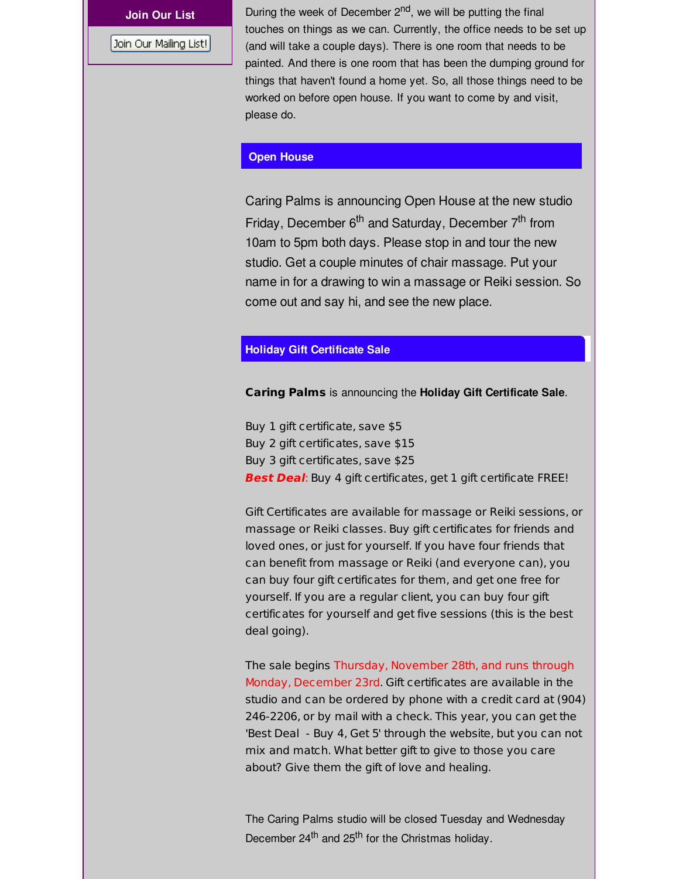Join Our Mailing List!

**Join Our List** During the week of December 2<sup>nd</sup>, we will be putting the final touches on things as we can. Currently, the office needs to be set up (and will take a couple days). There is one room that needs to be painted. And there is one room that has been the dumping ground for things that haven't found a home yet. So, all those things need to be worked on before open house. If you want to come by and visit, please do.

#### **Open House**

Caring Palms is announcing Open House at the new studio Friday, December 6<sup>th</sup> and Saturday, December 7<sup>th</sup> from 10am to 5pm both days. Please stop in and tour the new studio. Get a couple minutes of chair massage. Put your name in for a drawing to win a massage or Reiki session. So come out and say hi, and see the new place.

#### **Holiday Gift Certificate Sale**

**Caring Palms** is announcing the **Holiday Gift Certificate Sale**.

Buy 1 gift certificate, save \$5 Buy 2 gift certificates, save \$15 Buy 3 gift certificates, save \$25 **Best Deal**: Buy 4 gift certificates, get 1 gift certificate FREE!

Gift Certificates are available for massage or Reiki sessions, or massage or Reiki classes. Buy gift certificates for friends and loved ones, or just for yourself. If you have four friends that can benefit from massage or Reiki (and everyone can), you can buy four gift certificates for them, and get one free for yourself. If you are a regular client, you can buy four gift certificates for yourself and get five sessions (this is the best deal going).

The sale begins Thursday, November 28th, and runs through Monday, December 23rd. Gift certificates are available in the studio and can be ordered by phone with a credit card at (904) 246-2206, or by mail with a check. This year, you can get the 'Best Deal - Buy 4, Get 5' through the website, but you can not mix and match. What better gift to give to those you care about? Give them the gift of love and healing.

The Caring Palms studio will be closed Tuesday and Wednesday December 24<sup>th</sup> and 25<sup>th</sup> for the Christmas holiday.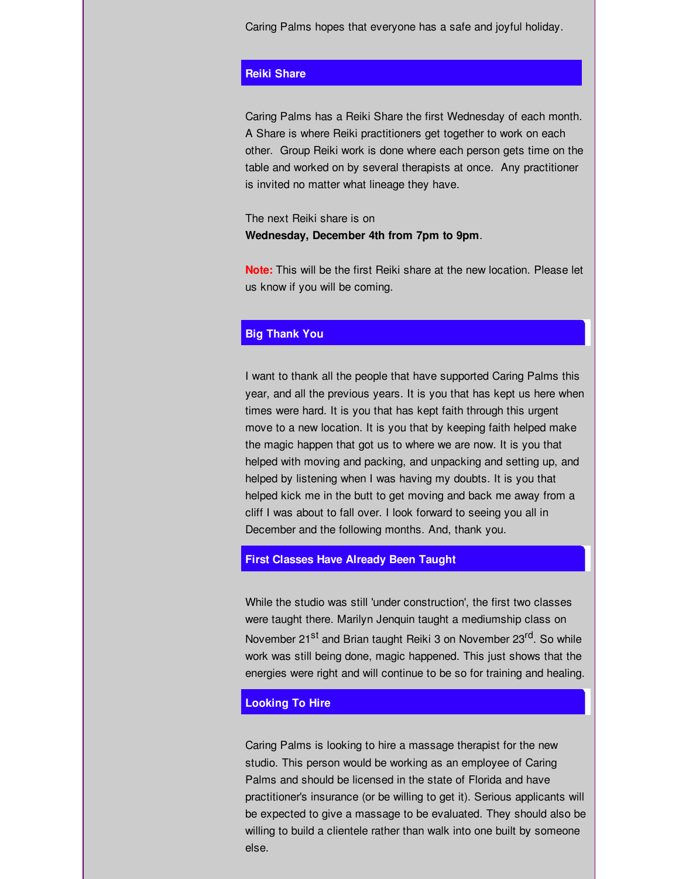Caring Palms hopes that everyone has a safe and joyful holiday.

# **Reiki Share**

Caring Palms has a Reiki Share the first Wednesday of each month. A Share is where Reiki practitioners get together to work on each other. Group Reiki work is done where each person gets time on the table and worked on by several therapists at once. Any practitioner is invited no matter what lineage they have.

The next Reiki share is on **Wednesday, December 4th from 7pm to 9pm**.

**Note:** This will be the first Reiki share at the new location. Please let us know if you will be coming.

# **Big Thank You**

I want to thank all the people that have supported Caring Palms this year, and all the previous years. It is you that has kept us here when times were hard. It is you that has kept faith through this urgent move to a new location. It is you that by keeping faith helped make the magic happen that got us to where we are now. It is you that helped with moving and packing, and unpacking and setting up, and helped by listening when I was having my doubts. It is you that helped kick me in the butt to get moving and back me away from a cliff I was about to fall over. I look forward to seeing you all in December and the following months. And, thank you.

#### **First Classes Have Already Been Taught**

While the studio was still 'under construction', the first two classes were taught there. Marilyn Jenquin taught a mediumship class on November 21<sup>st</sup> and Brian taught Reiki 3 on November 23<sup>rd</sup>. So while work was still being done, magic happened. This just shows that the energies were right and will continue to be so for training and healing.

#### **Looking To Hire**

Caring Palms is looking to hire a massage therapist for the new studio. This person would be working as an employee of Caring Palms and should be licensed in the state of Florida and have practitioner's insurance (or be willing to get it). Serious applicants will be expected to give a massage to be evaluated. They should also be willing to build a clientele rather than walk into one built by someone else.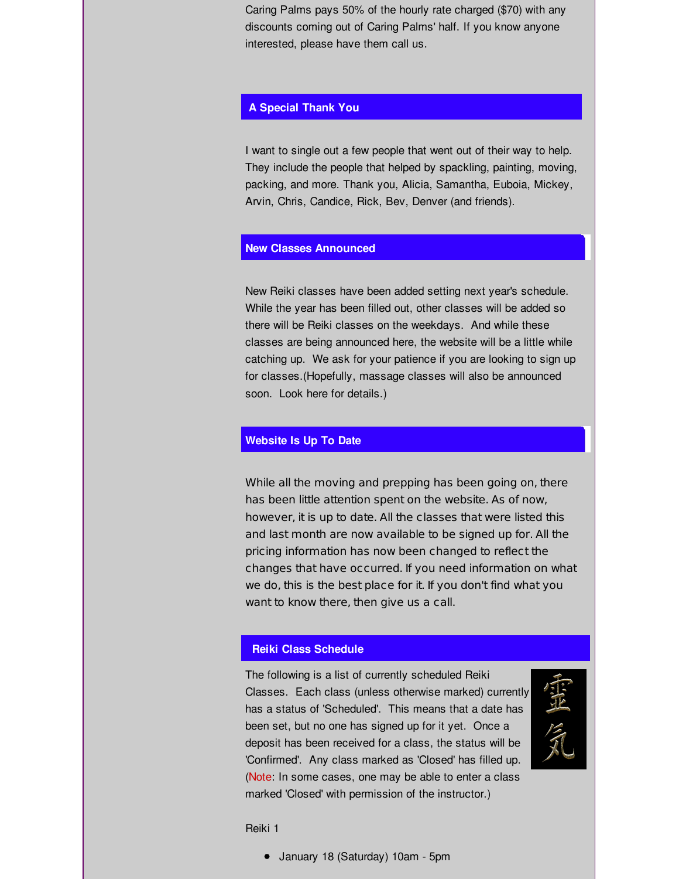Caring Palms pays 50% of the hourly rate charged (\$70) with any discounts coming out of Caring Palms' half. If you know anyone interested, please have them call us.

### **A Special Thank You**

I want to single out a few people that went out of their way to help. They include the people that helped by spackling, painting, moving, packing, and more. Thank you, Alicia, Samantha, Euboia, Mickey, Arvin, Chris, Candice, Rick, Bev, Denver (and friends).

#### **New Classes Announced**

New Reiki classes have been added setting next year's schedule. While the year has been filled out, other classes will be added so there will be Reiki classes on the weekdays. And while these classes are being announced here, the website will be a little while catching up. We ask for your patience if you are looking to sign up for classes.(Hopefully, massage classes will also be announced soon. Look here for details.)

### **Website Is Up To Date**

While all the moving and prepping has been going on, there has been little attention spent on the website. As of now, however, it is up to date. All the classes that were listed this and last month are now available to be signed up for. All the pricing information has now been changed to reflect the changes that have occurred. If you need information on what we do, this is the best place for it. If you don't find what you want to know there, then give us a call.

#### **Reiki Class Schedule**

The following is a list of currently scheduled Reiki Classes. Each class (unless otherwise marked) currently has a status of 'Scheduled'. This means that a date has been set, but no one has signed up for it yet. Once a deposit has been received for a class, the status will be 'Confirmed'. Any class marked as 'Closed' has filled up. (Note: In some cases, one may be able to enter a class marked 'Closed' with permission of the instructor.)



Reiki 1

January 18 (Saturday) 10am - 5pm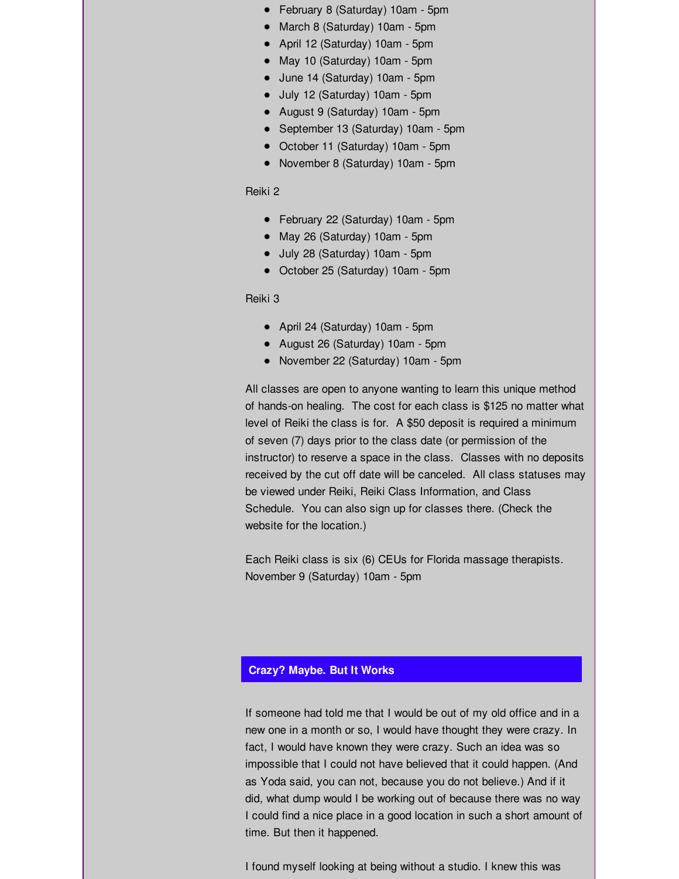- February 8 (Saturday) 10am 5pm
- March 8 (Saturday) 10am 5pm
- April 12 (Saturday) 10am 5pm
- May 10 (Saturday) 10am 5pm
- June 14 (Saturday) 10am 5pm
- July 12 (Saturday) 10am 5pm
- August 9 (Saturday) 10am 5pm
- September 13 (Saturday) 10am 5pm
- October 11 (Saturday) 10am 5pm
- November 8 (Saturday) 10am 5pm

#### Reiki 2

- February 22 (Saturday) 10am 5pm
- May 26 (Saturday) 10am 5pm
- July 28 (Saturday) 10am 5pm
- October 25 (Saturday) 10am 5pm

Reiki 3

- April 24 (Saturday) 10am 5pm
- August 26 (Saturday) 10am 5pm
- November 22 (Saturday) 10am 5pm

All classes are open to anyone wanting to learn this unique method of hands-on healing. The cost for each class is \$125 no matter what level of Reiki the class is for. A \$50 deposit is required a minimum of seven (7) days prior to the class date (or permission of the instructor) to reserve a space in the class. Classes with no deposits received by the cut off date will be canceled. All class statuses may be viewed under Reiki, Reiki Class Information, and Class Schedule. You can also sign up for classes there. (Check the website for the location.)

Each Reiki class is six (6) CEUs for Florida massage therapists. November 9 (Saturday) 10am - 5pm

#### **Crazy? Maybe. But It Works**

If someone had told me that I would be out of my old office and in a new one in a month or so, I would have thought they were crazy. In fact, I would have known they were crazy. Such an idea was so impossible that I could not have believed that it could happen. (And as Yoda said, you can not, because you do not believe.) And if it did, what dump would I be working out of because there was no way I could find a nice place in a good location in such a short amount of time. But then it happened.

I found myself looking at being without a studio. I knew this was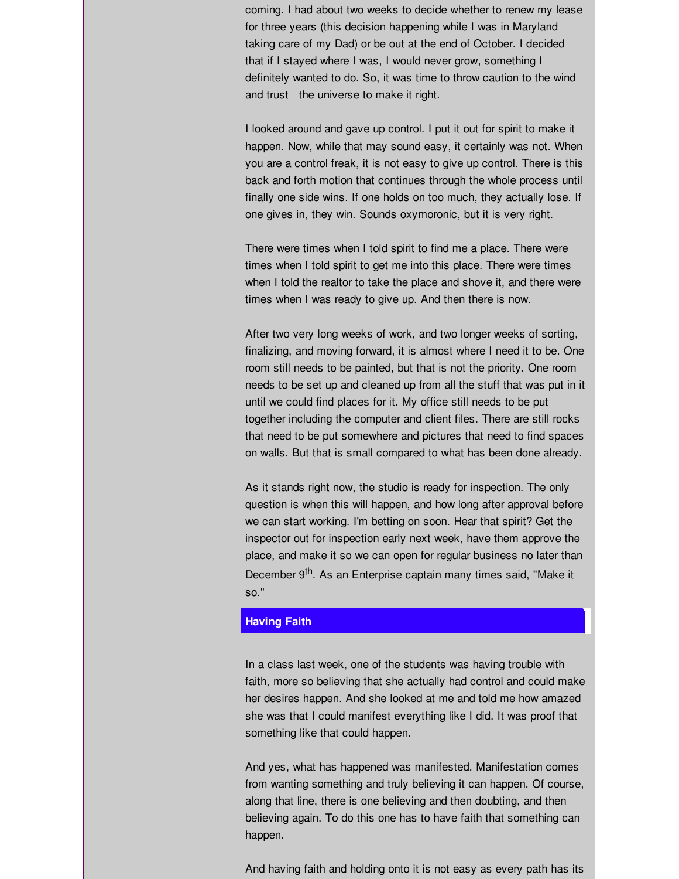coming. I had about two weeks to decide whether to renew my lease for three years (this decision happening while I was in Maryland taking care of my Dad) or be out at the end of October. I decided that if I stayed where I was, I would never grow, something I definitely wanted to do. So, it was time to throw caution to the wind and trust the universe to make it right.

I looked around and gave up control. I put it out for spirit to make it happen. Now, while that may sound easy, it certainly was not. When you are a control freak, it is not easy to give up control. There is this back and forth motion that continues through the whole process until finally one side wins. If one holds on too much, they actually lose. If one gives in, they win. Sounds oxymoronic, but it is very right.

There were times when I told spirit to find me a place. There were times when I told spirit to get me into this place. There were times when I told the realtor to take the place and shove it, and there were times when I was ready to give up. And then there is now.

After two very long weeks of work, and two longer weeks of sorting, finalizing, and moving forward, it is almost where I need it to be. One room still needs to be painted, but that is not the priority. One room needs to be set up and cleaned up from all the stuff that was put in it until we could find places for it. My office still needs to be put together including the computer and client files. There are still rocks that need to be put somewhere and pictures that need to find spaces on walls. But that is small compared to what has been done already.

As it stands right now, the studio is ready for inspection. The only question is when this will happen, and how long after approval before we can start working. I'm betting on soon. Hear that spirit? Get the inspector out for inspection early next week, have them approve the place, and make it so we can open for regular business no later than December 9<sup>th</sup>. As an Enterprise captain many times said, "Make it so."

# **Having Faith**

In a class last week, one of the students was having trouble with faith, more so believing that she actually had control and could make her desires happen. And she looked at me and told me how amazed she was that I could manifest everything like I did. It was proof that something like that could happen.

And yes, what has happened was manifested. Manifestation comes from wanting something and truly believing it can happen. Of course, along that line, there is one believing and then doubting, and then believing again. To do this one has to have faith that something can happen.

And having faith and holding onto it is not easy as every path has its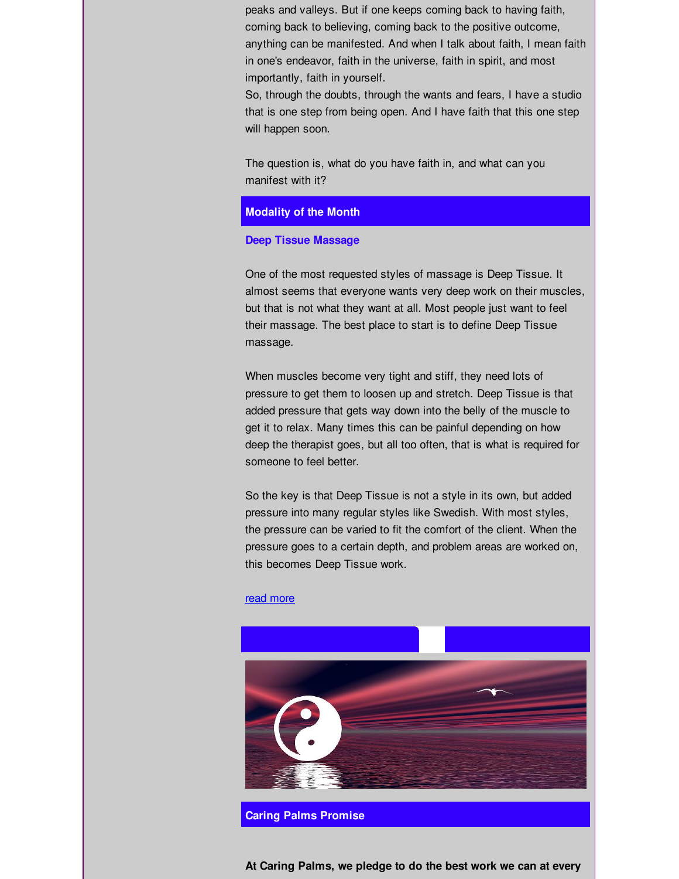peaks and valleys. But if one keeps coming back to having faith, coming back to believing, coming back to the positive outcome, anything can be manifested. And when I talk about faith, I mean faith in one's endeavor, faith in the universe, faith in spirit, and most importantly, faith in yourself.

So, through the doubts, through the wants and fears, I have a studio that is one step from being open. And I have faith that this one step will happen soon.

The question is, what do you have faith in, and what can you manifest with it?

#### **Modality of the Month**

#### **Deep Tissue Massage**

One of the most requested styles of massage is Deep Tissue. It almost seems that everyone wants very deep work on their muscles, but that is not what they want at all. Most people just want to feel their massage. The best place to start is to define Deep Tissue massage.

When muscles become very tight and stiff, they need lots of pressure to get them to loosen up and stretch. Deep Tissue is that added pressure that gets way down into the belly of the muscle to get it to relax. Many times this can be painful depending on how deep the therapist goes, but all too often, that is what is required for someone to feel better.

So the key is that Deep Tissue is not a style in its own, but added pressure into many regular styles like Swedish. With most styles, the pressure can be varied to fit the comfort of the client. When the pressure goes to a certain depth, and problem areas are worked on, this becomes Deep Tissue work.

#### read [more](http://r20.rs6.net/tn.jsp?f=001y1ltD-1ldJDzDiVwNHG-Es5HooYJqU2RTJRjSvwn_LiyjeQXwVNZuPkU37ec7LtJSYJ44Ze4BHXCrpYjqh7PiteIajhu9sBsI5UDOuDZhgnYvkZcG_bBM74z1u9uoxTOu1Sr4S8oeMB5kKXfOvAhed1L6cmE-_IZeWOtdIjZr6g93hXLA5wlgHDwzsYZuofMr4AUYYjQzZbPPX34mW-Lkg==&c=&ch=)



**At Caring Palms, we pledge to do the best work we can at every**